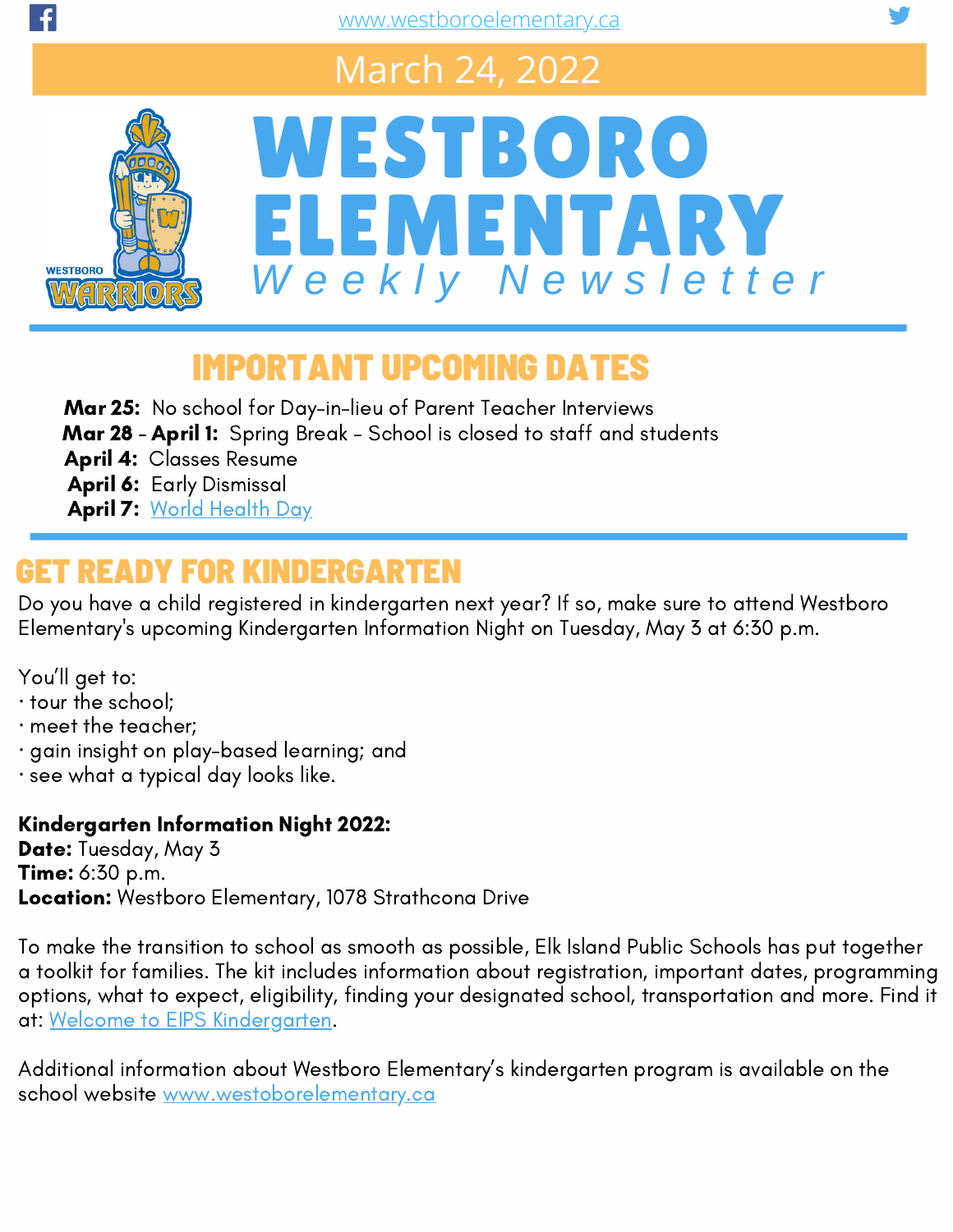## March 24, 2022



# WESTBORO ELEMENTARY *W e e k l y N e w s l e t t e r*

### IMPORTANT UPCOMING DATES

Mar 25: No school for Day-in-lieu of Parent Teacher Interviews

- Mar 28 April 1: Spring Break School is closed to staff and students
- April 4: Classes Resume
- April 6: Early Dismissal
- April 7: World [Health](https://www.who.int/campaigns/world-health-day) Day

### GET READY FOR KINDERGARTEN

Do you have a child registered in kindergarten next year? If so, make sure to attend Westboro Elementary's upcoming Kindergarten Information Night on Tuesday, May 3 at 6:30 p.m.

You'll get to:

- · tour the school;
- · meet the teacher;
- · gain insight on play-based learning; and
- · see what a typical day looks like.

#### Kindergarten Information Night 2022:

Date: Tuesday, May 3 **Time:** 6:30 p.m. Location: Westboro Elementary, 1078 Strathcona Drive

To make the transition to school as smooth as possible, Elk Island Public Schools has put together a toolkit for families. The kit includes information about registration, important dates, programming options, what to expect, eligibility, finding your designated school, transportation and more. Find it at: Welcome to EIPS [Kindergarten.](https://www.eips.ca/programs-services/early-learning/kindergarten)

Additional information about Westboro Elementary's kindergarten program is available on the school website [www.westoborelementary.ca](https://www.westboroelementary.ca/about/kindergarten)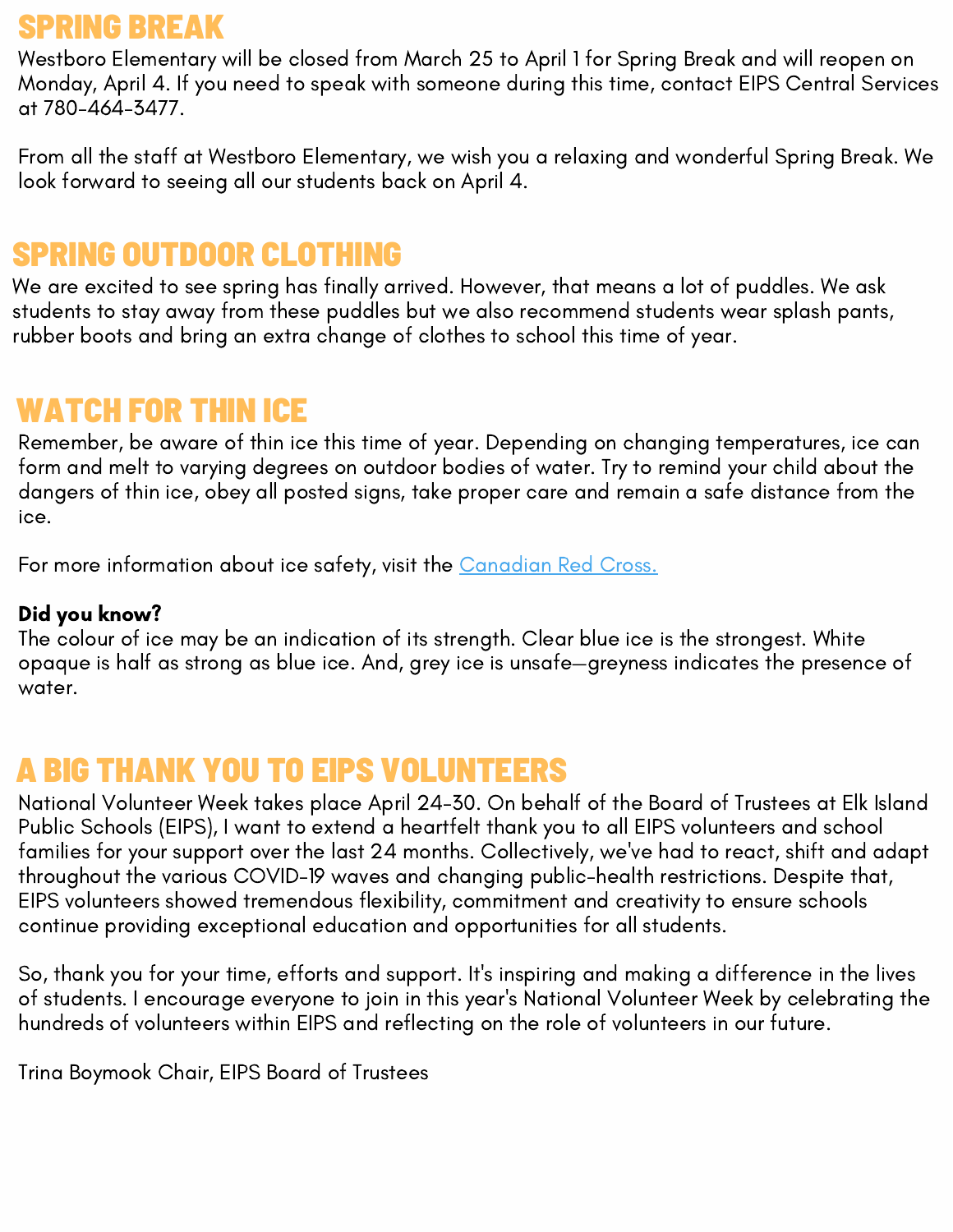#### SPRING BREAK

Westboro Elementary will be closed from March 25 to April 1 for Spring Break and will reopen on Monday, April 4. If you need to speak with someone during this time, contact EIPS Central Services at 780-464-3477.

From all the staff at Westboro Elementary, we wish you a relaxing and wonderful Spring Break. We look forward to seeing all our students back on April 4.

#### SPRING OUTDOOR CLOTHING

We are excited to see spring has finally arrived. However, that means a lot of puddles. We ask students to stay away from these puddles but we also recommend students wear splash pants, rubber boots and bring an extra change of clothes to school this time of year.

#### WATCH FOR THIN ICE

Remember, be aware of thin ice this time of year. Depending on changing temperatures, ice can form and melt to varying degrees on outdoor bodies of water. Try to remind your child about the dangers of thin ice, obey all posted signs, take proper care and remain a safe distance from the ice.

For more information about ice safety, visit the [Canadian](https://www.redcross.ca/training-and-certification/swimming-and-water-safety-tips-and-resources/swimming-boating-and-water-safety-tips/ice-safety) Red Cross.

#### Did you know?

The colour of ice may be an indication of its strength. Clear blue ice is the strongest. White opaque is half as strong as blue ice. And, grey ice is unsafe—greyness indicates the presence of water.

#### A BIG THANK YOU TO EIPS VOLUNTEERS

National Volunteer Week takes place April 24-30. On behalf of the Board of Trustees at Elk Island Public Schools (EIPS), I want to extend a heartfelt thank you to all EIPS volunteers and school families for your support over the last 24 months. Collectively, we've had to react, shift and adapt throughout the various COVID-19 waves and changing public-health restrictions. Despite that, EIPS volunteers showed tremendous flexibility, commitment and creativity to ensure schools continue providing exceptional education and opportunities for all students.

So, thank you for your time, efforts and support. It's inspiring and making a difference in the lives of students. I encourage everyone to join in this year's National Volunteer Week by celebrating the hundreds of volunteers within EIPS and reflecting on the role of volunteers in our future.

Trina Boymook Chair, EIPS Board of Trustees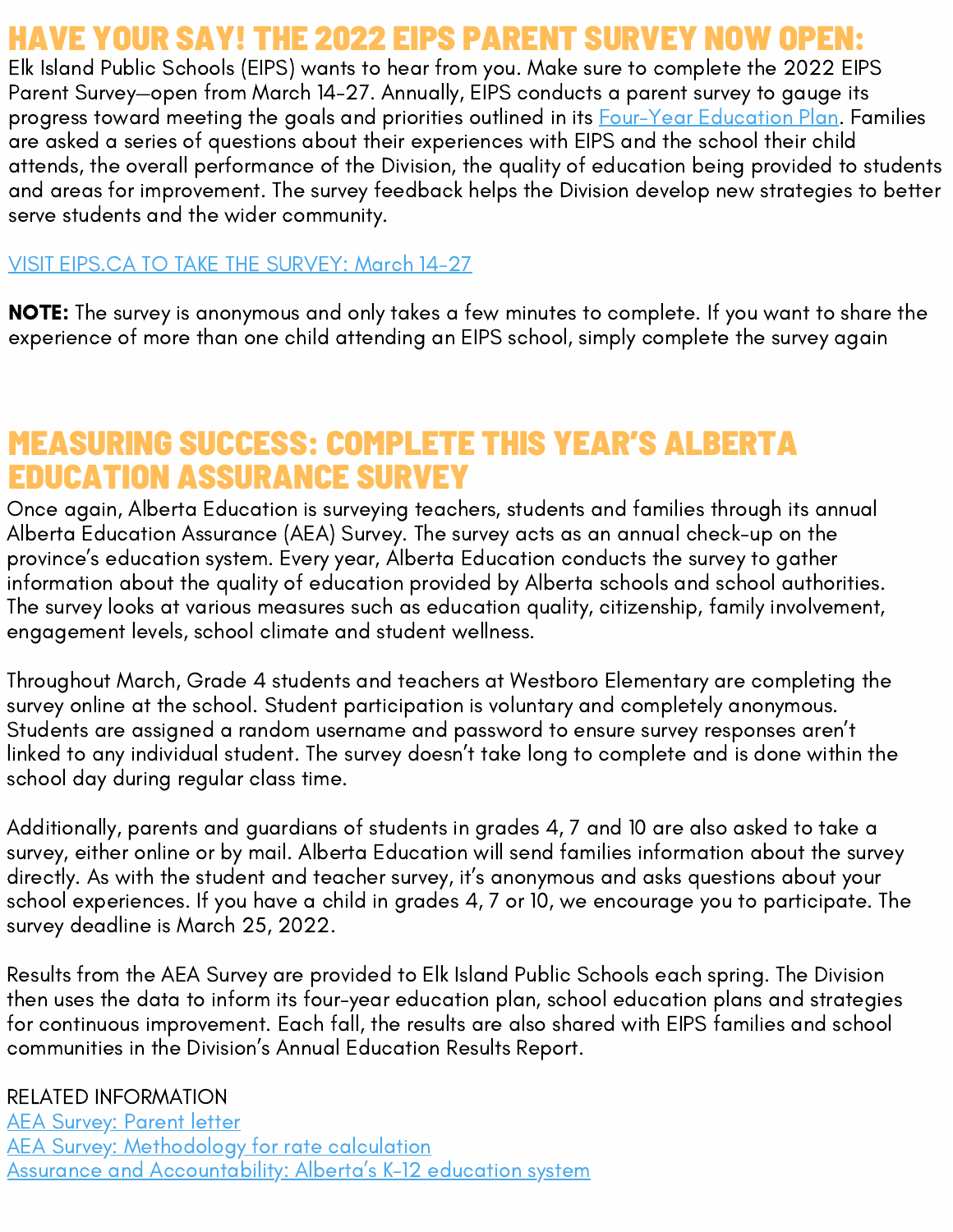### HAVE YOUR SAY! THE 2022 EIPS PARENT SURVEY NOW OPEN:

Elk Island Public Schools (EIPS) wants to hear from you. Make sure to complete the 2022 EIPS Parent Survey—open from March 14-27. Annually, EIPS conducts a parent survey to gauge its progress toward meeting the goals and priorities outlined in its Four-Year [Education](https://www.eips.ca/trustees/four-year-education-plan) Plan. Families are asked a series of questions about their experiences with EIPS and the school their child attends, the overall performance of the Division, the quality of education being provided to students and areas for improvement. The survey feedback helps the Division develop new strategies to better serve students and the wider community.

#### VISIT EIPS.CA TO TAKE THE [SURVEY:](https://www.eips.ca/) March 14-27

NOTE: The survey is anonymous and only takes a few minutes to complete. If you want to share the experience of more than one child attending an EIPS school, simply complete the survey again

#### MEASURING SUCCESS: COMPLETE THIS YEAR'S ALBERTA EDUCATION ASSURANCE SURVEY

Once again, Alberta Education is surveying teachers, students and families through its annual Alberta Education Assurance (AEA) Survey. The survey acts as an annual check-up on the province's education system. Every year, Alberta Education conducts the survey to gather information about the quality of education provided by Alberta schools and school authorities. The survey looks at various measures such as education quality, citizenship, family involvement, engagement levels, school climate and student wellness.

Throughout March, Grade 4 students and teachers at Westboro Elementary are completing the survey online at the school. Student participation is voluntary and completely anonymous. Students are assigned a random username and password to ensure survey responses aren't linked to any individual student. The survey doesn't take long to complete and is done within the school day during regular class time.

Additionally, parents and guardians of students in grades 4, 7 and 10 are also asked to take a survey, either online or by mail. Alberta Education will send families information about the survey directly. As with the student and teacher survey, it's anonymous and asks questions about your school experiences. If you have a child in grades 4, 7 or 10, we encourage you to participate. The survey deadline is March 25, 2022.

Results from the AEA Survey are provided to Elk Island Public Schools each spring. The Division then uses the data to inform its four-year education plan, school education plans and strategies for continuous improvement. Each fall, the results are also shared with EIPS families and school communities in the Division's Annual Education Results Report.

RELATED INFORMATION

**AEA [Survey:](https://www.alberta.ca/assets/documents/edc-alberta-education-assurance-survey-parent-letter.pdf) Parent letter AEA Survey: [Methodology](https://open.alberta.ca/publications/alberta-education-assurance-survey) for rate calculation** Assurance and [Accountability:](https://www.alberta.ca/accountability-education-system.aspx) Alberta's K-12 education system